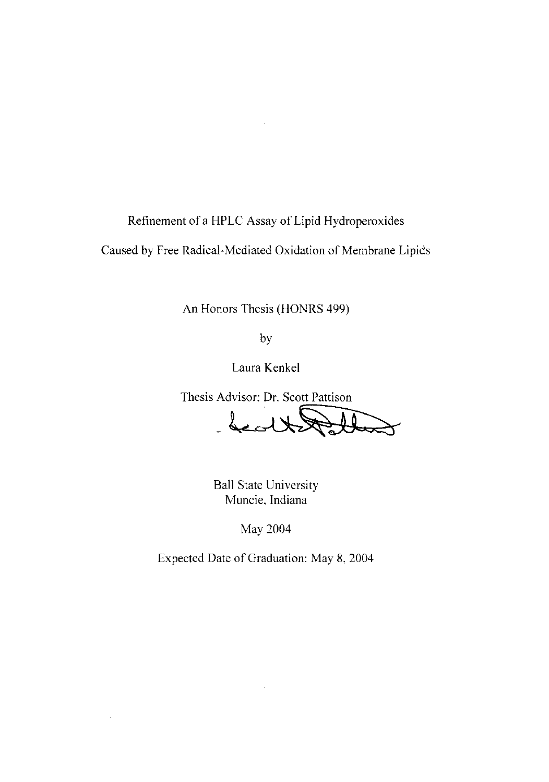Refinement of a HPLC Assay of Lipid Hydroperoxides

 $\bar{z}$ 

Caused by Free Radical-Mediated Oxidation of Membrane Lipids

An Honors Thesis (HONRS 499)

by

Laura Kenkel

Thesis Advisor: Dr. Scott Pattison

- health Pollo

Ball State University Muncie, Indiana

May 2004

Expected Date of Graduation: May 8, 2004

 $\ddot{\phantom{a}}$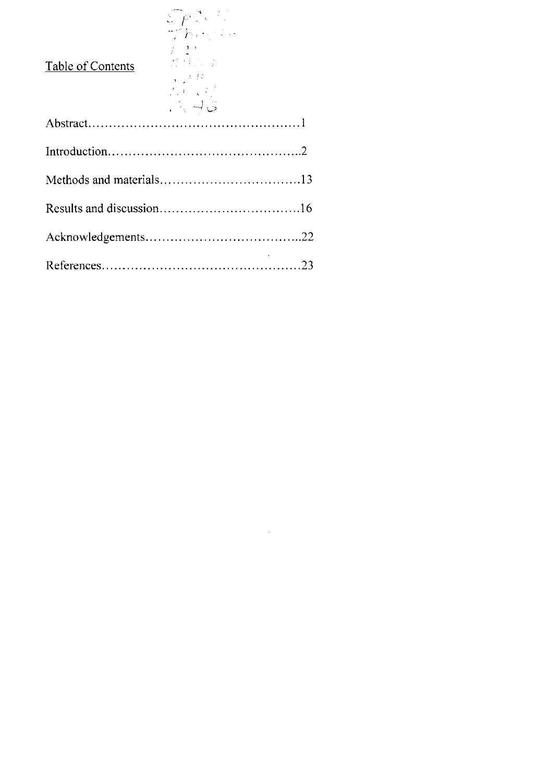| <b>Table of Contents</b> | $\mathcal{E} \rho \mathcal{E}$ .<br>$\mathbb{Z}/h$ and $\mathbb{Z}$<br>$\mathcal{F}(\mathcal{I}^{\infty})$<br>2011年1月<br>$\chi_{\rm{max}}=2.02$ .<br>2000年<br>$\therefore \exists \in$ |  |
|--------------------------|----------------------------------------------------------------------------------------------------------------------------------------------------------------------------------------|--|
|                          |                                                                                                                                                                                        |  |
|                          |                                                                                                                                                                                        |  |
|                          |                                                                                                                                                                                        |  |
|                          |                                                                                                                                                                                        |  |
|                          |                                                                                                                                                                                        |  |
|                          |                                                                                                                                                                                        |  |

 $\mathcal{L}^{\text{max}}_{\text{max}}$  , where  $\mathcal{L}^{\text{max}}_{\text{max}}$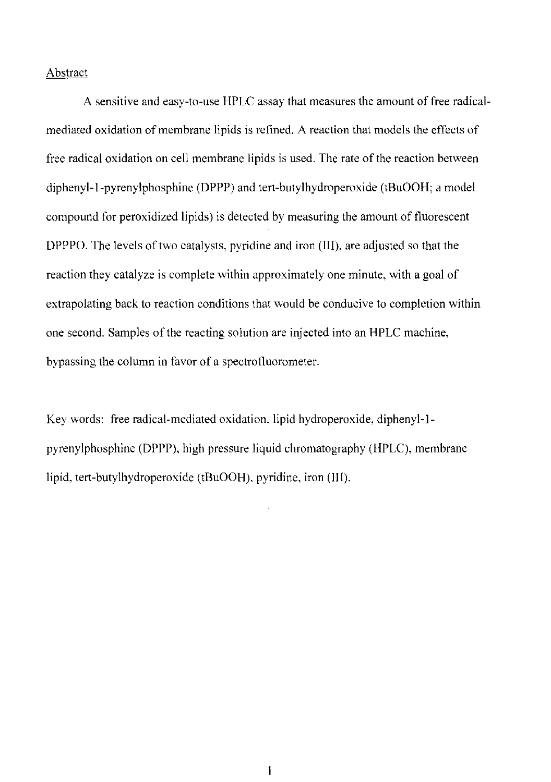## **Abstract**

A sensitive and easy-to-use HPLC assay that measures the amount of free radicalmediated oxidation of membrane lipids is refined. A reaction that models the effects of free radical oxidation on cell membrane lipids is used. The rate of the reaction between diphenyl-l-pyrenylphosphine (DPPP) and tert-butylhydroperoxide (tBuOOH; a model compound for peroxidized lipids) is detected by measuring the amount of fluorescent DPPPO. The levels of two catalysts, pyridine and iron (III), are adjusted so that the reaction they catalyze is complete within approximately one minute, with a goal of extrapolating back to reaction conditions that would be conducive to completion within one second. Samples of the reacting solution are injected into an HPLC machine, bypassing the column in favor of a spectrofluorometer.

Key words: free radical-mediated oxidation. lipid hydroperoxide, diphenyl-lpyrenylphosphine (DPPP), high pressure liquid chromatography (HPLC), membrane lipid, tert-butylhydroperoxide (tBuOOH). pyridine, iron (III).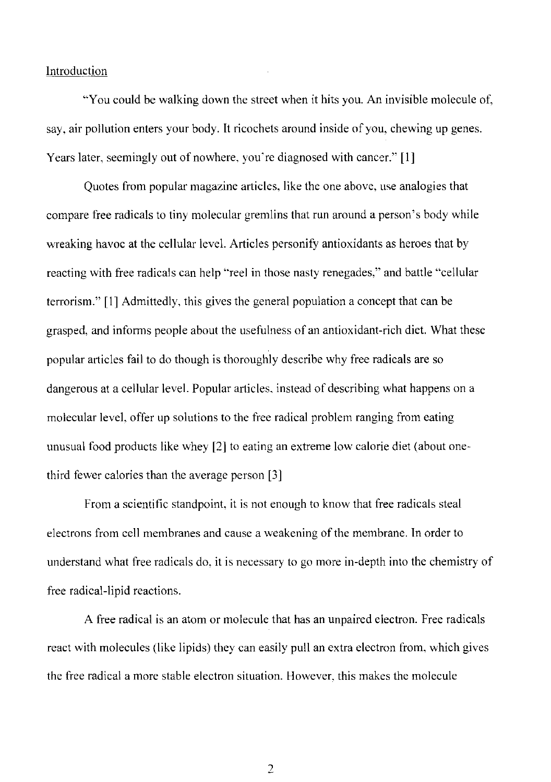#### Introduction

"You could be walking down the street when it hits you. An invisible molecule of, say, air pollution enters your body. It ricochets around inside of you, chewing up genes. Years later, seemingly out of nowhere. you're diagnosed with cancer." **[I]** 

Quotes from popular magazine articles, like the one above, use analogies that compare free radicals to tiny molecular gremlins that run around a person's body while wreaking havoc at the cellular level. Articles personify antioxidants as heroes that by reacting with free radicals can help "reel in those nasty renegades," and battle "cellular terrorism." [I] Admittedly. this gives the general population a concept that can be grasped, and informs people about the usefulness of an antioxidant-rich diet. What these popular articles fail to do though is thoroughly describe why free radicals are so dangerous at a cellular level. Popular articles. instead of describing what happens on a molecular level, offer up solutions to the free radical problem ranging from eating unusual food products like whey [2] to eating an extreme low calorie diet (about onethird fewer calories than the average person [3]

From a scientific standpoint, it is not enough to know that free radicals steal electrons from cell membranes and cause a weakening of the membrane. In order to understand what free radicals do, it is necessary to go more in-depth into the chemistry of free radical-lipid reactions.

A free radical is an atom or molecule that has an unpaired electron. Free radicals react with molecules (like lipids) they can easily pull an extra electron from. which gives the free radical a more stable electron situation. However. this makes the molecule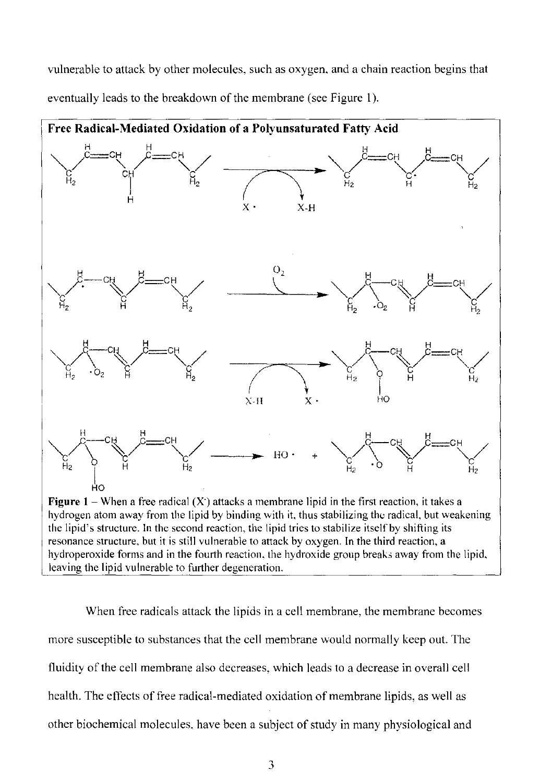vulnerable to attack by other molecules, such as oxygen, and a chain reaction begins that eventually leads to the breakdown of the membrane (see Figure 1).



hydrogen atom away from the lipid by binding with it, thus stabilizing the radical, but weakening the lipid's structure. In the second reaction, the lipid tries to stabilize itself by shifting its resonance structure, but it is still vulnerable to attack by oxygen. In the third reaction, a hydroperoxide forms and in the fourth reaction, the hydroxide group breaks away from the lipid. leaving the lipid vulnerable to further degeneration.

When free radicals attack the lipids in a cell membrane, the membrane becomes more susceptible to substances that the cell membrane would normally keep out. The fluidity of the cell membrane also decreases, which leads to a decrease in overall cell health. The effects of free radical-mediated oxidation of membrane lipids, as well as other biochemical molecules. have been a subject of study in many physiological and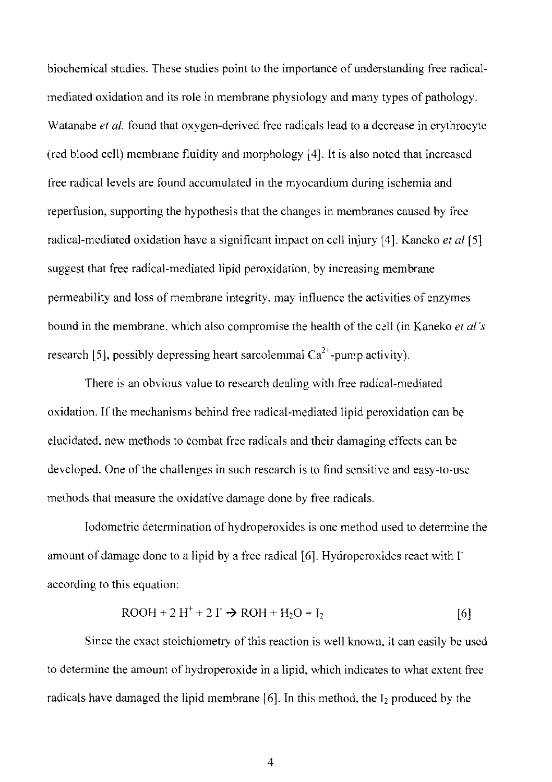biochemical studies. These studies point to the importance of understanding free radicalmediated oxidation and its role in membrane physiology and many types of pathology. Watanabe *et al.* found that oxygen-derived free radicals lead to a decrease in erythrocyte (red blood cell) membrane fluidity and morphology [4). It is also noted that increased free radical levels are found accumulated in the myocardium during ischemia and reperfusion, supporting the hypothesis that the changes in membranes caused by free radical-mediated oxidation have a significant impact on cell injury [4]. Kaneko *et al [5]*  suggest that free radical-mediated lipid peroxidation. by increasing membrane penneability and loss of membrane integrity, may influence the activities of enzymes bound in the membrane, which also compromise the health of the cell (in Kaneko *et al's* research [5], possibly depressing heart sarcolemmal  $Ca^{2+}$ -pump activity).

There is an obvious value to research dealing with free radical-mediated oxidation. Ifthe mechanisms behind free radical-mediated lipid peroxidation can be elucidated. new methods to combat free radicals and their damaging effects can be developed. One of the challenges in such research is to find sensitive and easy-to-use methods that measure the oxidative damage done by free radicals.

Iodometric determination of hydro peroxides is one method used to determine the amount of damage done to a lipid by a free radical [6]. Hydroperoxides react with  $\Gamma$ according to this equation:

$$
ROOH + 2 H+ + 2 I+ \rightarrow ROH + H2O + I2
$$
 [6]

Since the exact stoichiometry of this reaction is well known. it can easily be used to determine the amount of hydroperoxide in a lipid, which indicates to what extent free radicals have damaged the lipid membrane [6]. In this method, the  $I_2$  produced by the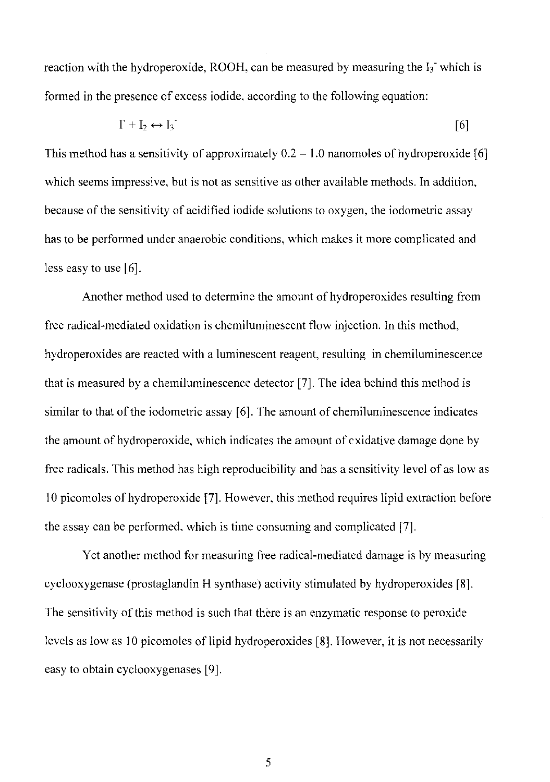reaction with the hydroperoxide, ROOH, can be measured by measuring the  $I_3$  which is formed in the presence of excess iodide, according to the following equation:

$$
\Gamma + I_2 \leftrightarrow I_3 \tag{6}
$$

This method has a sensitivity of approximately  $0.2 - 1.0$  nanomoles of hydroperoxide [6] which seems impressive, but is not as sensitive as other available methods. In addition, because of the sensitivity of acidified iodide solutions to oxygen, the iodometric assay has to be performed under anaerobic conditions, which makes it more complicated and less easy to use [6].

Another method used to determine the amount of hydroperoxides resulting from free radical-mediated oxidation is chemiluminescent flow injection. In this method, hydro peroxides are reacted with a luminescent reagent, resulting in chemiluminescence that is measured by a chemiluminescence detector [7]. The idea behind this method is similar to that of the iodometric assay [6]. The amount of chemiluminescence indicates the amount of hydroperoxide, which indicates the amount of cxidative damage done by free radicals. This method has high reproducibility and has a sensitivity level of as low as 10 picomoles of hydroperoxide [7]. However, this method requires lipid extraction before the assay can be performed, which is time consuming and complicated [7].

Yet another method for measuring free radical-mediated damage is by measuring cyclooxygenase (prostaglandin H synthase) activity stimulated by hydroperoxides [8]. The sensitivity of this method is such that there is an enzymatic response to peroxide levels as low as 10 picomoles of lipid hydroperoxides [8]. However, it is not necessarily easy to obtain cyclooxygenases [9].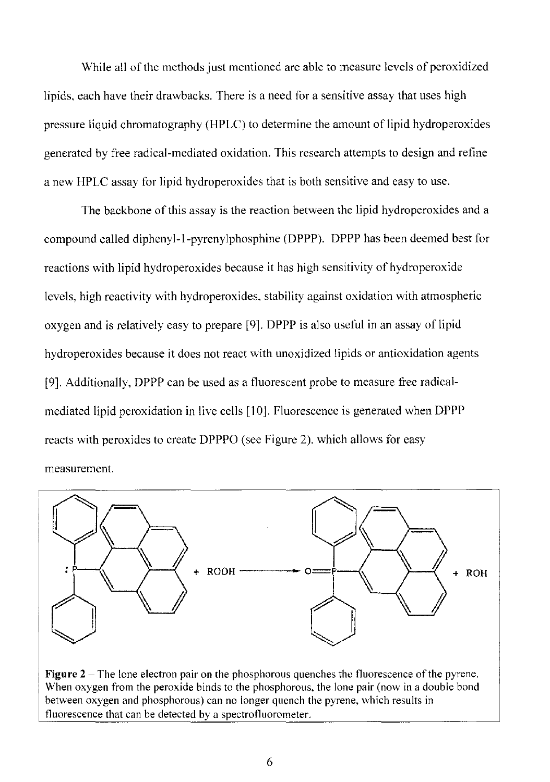While all of the methods just mentioned are able to measure levels of peroxidized lipids, each have their drawbacks. There is a need for a sensitive assay that uses high pressure liquid chromatography (HPLC) to determine the amount of lipid hydroperoxides generated by free radical-mediated oxidation. This research attempts to design and refine a new HPLC assay for lipid hydroperoxides that is both sensitive and easy to use.

The backbone of this assay is the reaction between the lipid hydroperoxides and a compound called diphenyl-l-pyrenylphosphine (DPPP). DPPP has been deemed best for reactions with lipid hydroperoxides because it has high sensitivity of hydroperoxide levels, high reactivity with hydroperoxides. stability against oxidation with atmospheric oxygen and is relatively easy to prepare [9]. DPPP is also useful in an assay of lipid hydroperoxides because it does not react with unoxidized lipids or antioxidation agents [9]. Additionally, DPPP can be used as a fluorescent probe to measure free radicalmediated lipid peroxidation in live cells [10]. Fluorescence is generated when DPPP reacts with peroxides to create DPPPO (see Figure 2). which allows for easy measurement.



**Figure** 2 - The lone electron pair on the phosphorous quenches the fluorescence of the pyrene. When oxygen from the peroxide binds to the phosphorous, the lone pair (now in a double bond between oxygen and phosphorous) can no longer quench the pyrene. which results in fluorescence that can be detected by a spectrofluorometer.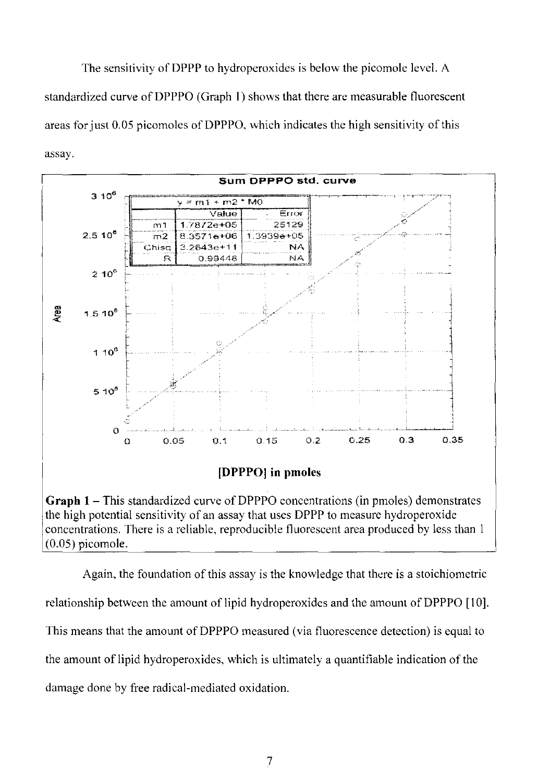The sensitivity of DPPP to hydroperoxides is below the picomole level. A standardized curve of DPPPO (Graph 1) shows that there are measurable fluorescent areas for just 0.05 picomoles of DPPPO, which indicates the high sensitivity of this assay.



**Graph 1** – This standardized curve of DPPPO concentrations (in pmoles) demonstrates the high potential sensitivity of an assay that uses DPPP to measure hydroperoxide concentrations. There is a reliable, reproducible fluorescent area produced by less than I (0.05) picomole.

Again, the foundation of this assay is the knowledge that there is a stoichiometric relationship between the amount of lipid hydroperoxides and the amount of DPPPO [10]. This means that the amount of DPPPO measured (via fluorescence detection) is equal to the amount of lipid hydroperoxides, which is ultimately a quantifiable indication of the damage done by free radical·mediated oxidation.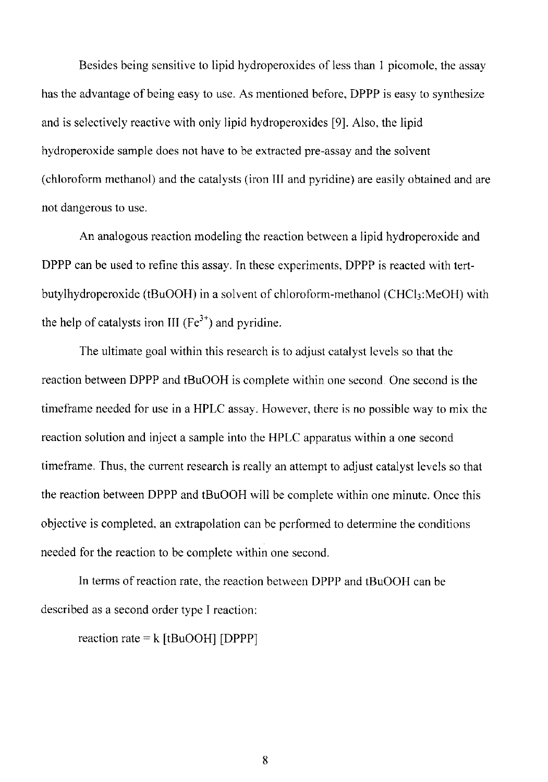Besides being sensitive to lipid hydroperoxides of less than 1 picomole, the assay has the advantage of being easy to use. As mentioned before, DPPP is easy to synthesize and is selectively reactive with only lipid hydroperoxides [9]. Also, the lipid hydroperoxide sample does not have to be extracted pre-assay and the solvent (chloroform methanol) and the catalysts (iron III and pyridine) are easily obtained and are not dangerous to use.

An analogous reaction modeling the reaction between a lipid hydroperoxide and DPPP can be used to refine this assay. In these experiments, DPPP is reacted with tertbutylhydroperoxide (tBuOOH) in a solvent of chloroform-methanol (CHCl $_3$ :MeOH) with the help of catalysts iron III ( $Fe<sup>3+</sup>$ ) and pyridine.

The ultimate goal within this research is to adjust catalyst levels so that the reaction between DPPP and tBuOOH is complete within one second. One second is the timeframe needed for use in a HPLC assay. However, there is no possible way to mix the reaction solution and inject a sample into the HPLC apparatus within a one second timeframe. Thus, the current research is really an attempt to adjust catalyst levels so that the reaction between DPPP and tBuOOH will be complete within one minute. Once this objective is completed. an extrapolation can be performed to determine the conditions needed for the reaction to be complete within one second.

In terms of reaction rate, the reaction between DPPP and tBuOOH can be described as a second order type I reaction:

reaction rate =  $k$  [tBuOOH] [DPPP]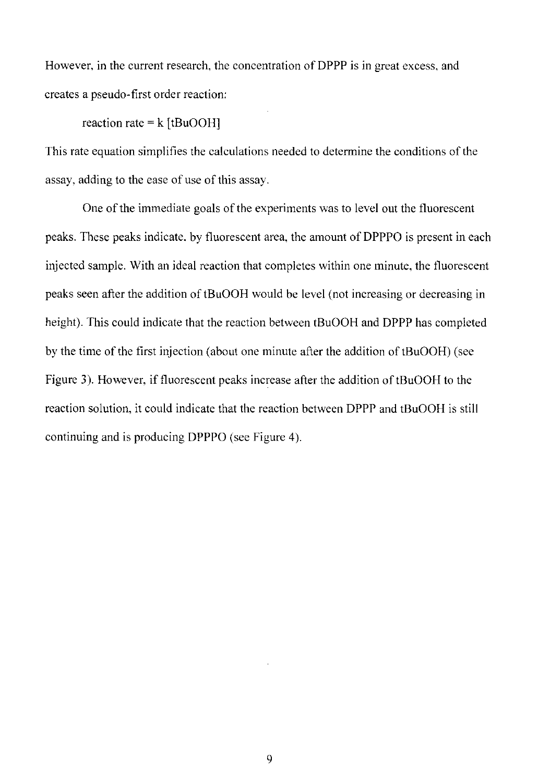However, in the current research, the concentration of DPPP is in great excess, and creates a pseudo-first order reaction:

reaction rate =  $k$  [tBuOOH]

This rate equation simplifies the calculations needed to determine the conditions of the assay, adding to the ease of use of this assay.

One of the immediate goals of the experiments was to level out the fluorescent peaks. These peaks indicate. by fluorescent area, the amount of DPPPO is present in each injected sample. With an ideal reaction that completes within one minute, the fluorescent peaks seen after the addition of tBuOOH would be level (not increasing or decreasing in height). This could indicate that the reaction between tBuOOH and DPPP has completed by the time of the first injection (about one minute after the addition of tBuOOH) (see Figure 3). However, if fluorescent peaks increase after the addition of tBuOOH to the reaction solution, it could indicate that the reaction between DPPP and tBuOOH is still continuing and is producing DPPPO (see Figure 4).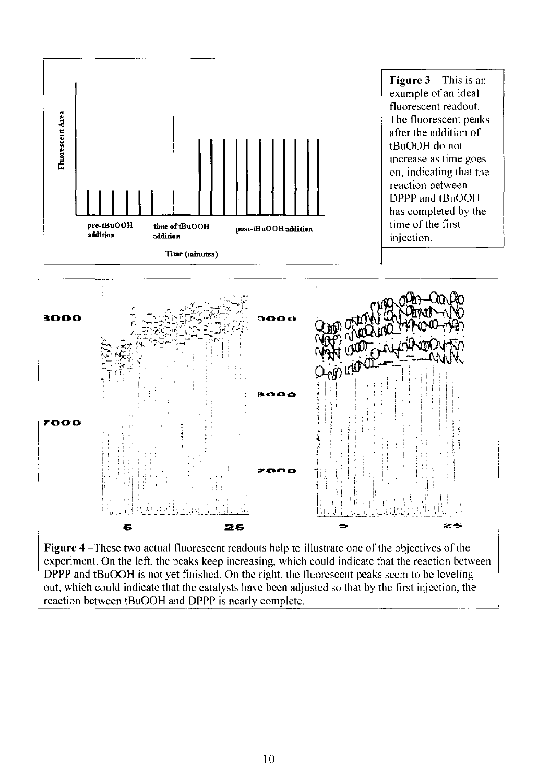

**Figure 4** -These two actual fluorescent readouts help to illustrate one of the objectives of the experiment. On the left, the peaks keep increasing, which could indicate :hat the reaction between DPPP and tBuOOH is not yet finished, On the right, the fluorescent peaks seem to be leveling out, which could indicate that the catalysts have been adjusted so that by the first injection. the reaction between tBuOOH and DPPP is nearly complete,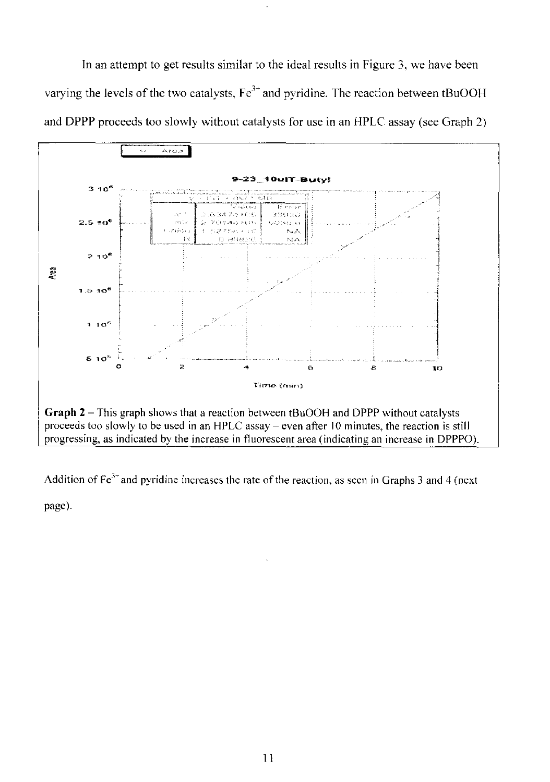In an attempt to get results similar to the ideal results in Figure 3, we have been varying the levels of the two catalysts,  $Fe^{3+}$  and pyridine. The reaction between tBuOOH and DPPP proceeds too slowly without catalysts for use in an HPLC assay (see Graph 2)



Addition of  $Fe<sup>3+</sup>$  and pyridine increases the rate of the reaction, as seen in Graphs 3 and 4 (next page).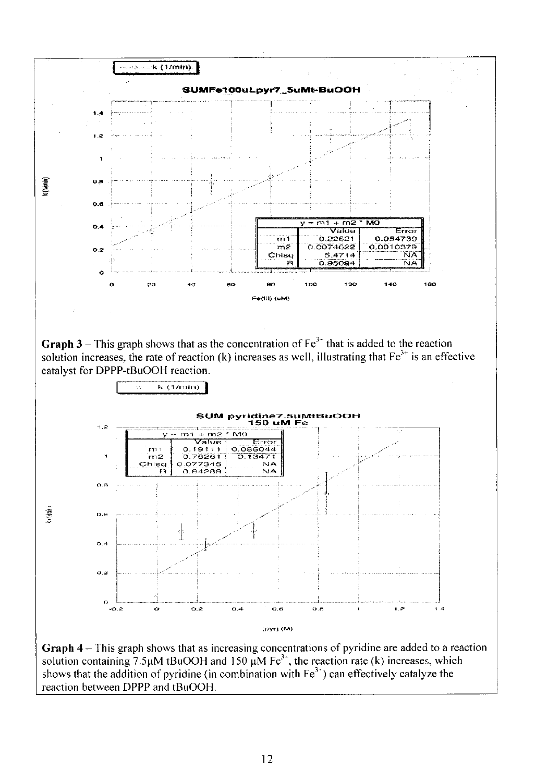

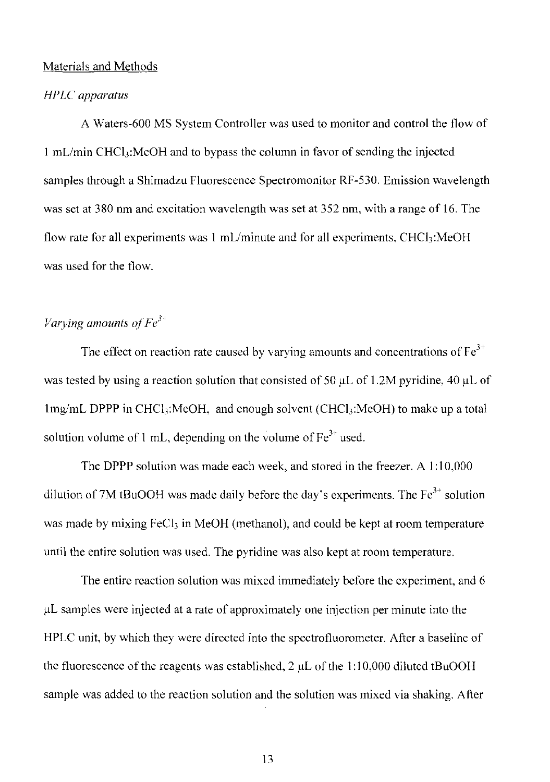#### Materials and Methods

#### *HPLC apparatus*

A Waters-600 MS System Controller was used to monitor and control the flow of 1 mL/min CHCl<sub>3</sub>:MeOH and to bypass the column in favor of sending the injected samples through a Shimadzu Fluorescence Spectromonitor RF-530. Emission wavelength was set at 380 nm and excitation wavelength was set at 352 nm, with a range of 16. The flow rate for all experiments was 1 mL/minute and for all experiments, CHCl<sub>3</sub>:MeOH was used for the flow.

# *Varying amounts of Fe*<sup>3+</sup>

The effect on reaction rate caused by varying amounts and concentrations of  $Fe<sup>3+</sup>$ was tested by using a reaction solution that consisted of 50  $\mu$ L of 1.2M pyridine, 40  $\mu$ L of Img/mL DPPP in CHCl<sub>3</sub>:MeOH, and enough solvent (CHCl<sub>3</sub>:MeOH) to make up a total solution volume of 1 mL, depending on the volume of  $Fe^{3+}$  used.

The DPPP solution was made each week, and stored in the freezer. A 1:10,000 dilution of 7M tBuOOH was made daily before the day's experiments. The  $Fe^{3+}$  solution was made by mixing FeCl<sub>3</sub> in MeOH (methanol), and could be kept at room temperature until the entire solution was used. The pyridine was also kept at room temperature.

The entire reaction solution was mixed immediately before the experiment, and 6  $\mu$ L samples were injected at a rate of approximately one injection per minute into the HPLC unit, by which they were directed into the spectrofluorometer. After a baseline of the fluorescence of the reagents was established,  $2 \mu L$  of the 1:10,000 diluted tBuOOH sample was added to the reaction solution and the solution was mixed via shaking. After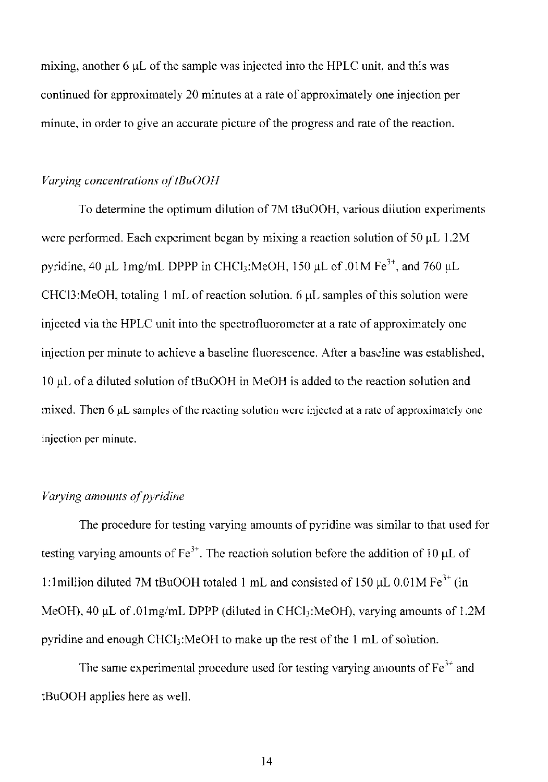mixing, another  $6 \mu L$  of the sample was injected into the HPLC unit, and this was continued for approximately 20 minutes at a rate of approximately one injection per minute, in order to give an accurate picture of the progress and rate of the reaction.

## *Varying concentrations of tBuOOH*

To determine the optimum dilution of 7M tBuOOH, various dilution experiments were performed. Each experiment began by mixing a reaction solution of  $50 \mu L$  1.2M pyridine, 40 µL 1 mg/mL DPPP in CHCl<sub>3</sub>:MeOH, 150 µL of .01 M Fe<sup>3+</sup>, and 760 µL CHCl3:MeOH, totaling 1 mL of reaction solution.  $6 \mu L$  samples of this solution were injected via the HPl.C unit into the spectrofluorometer at a rate of approximately one injection per minute to achieve a baseline fluorescence. After a baseline was established, 10 µL of a diluted solution of tBuOOH in MeOH is added to the reaction solution and mixed. Then  $6 \mu L$  samples of the reacting solution were injected at a rate of approximately one injection per minute.

# *Varying amounts of pyridine*

The procedure for testing varying amounts of pyridine was similar to that used for testing varying amounts of Fe<sup>3+</sup>. The reaction solution before the addition of 10  $\mu$ L of 1:1 million diluted 7M tBuOOH totaled 1 mL and consisted of 150  $\mu$ L 0.01M Fe<sup>3+</sup> (in MeOH), 40 µL of .01mg/mL DPPP (diluted in CHCl<sub>3</sub>:MeOH), varying amounts of 1.2M pyridine and enough CHCl<sub>3</sub>:MeOH to make up the rest of the 1 mL of solution.

The same experimental procedure used for testing varying amounts of  $Fe<sup>3+</sup>$  and tBuOOH applies here as well.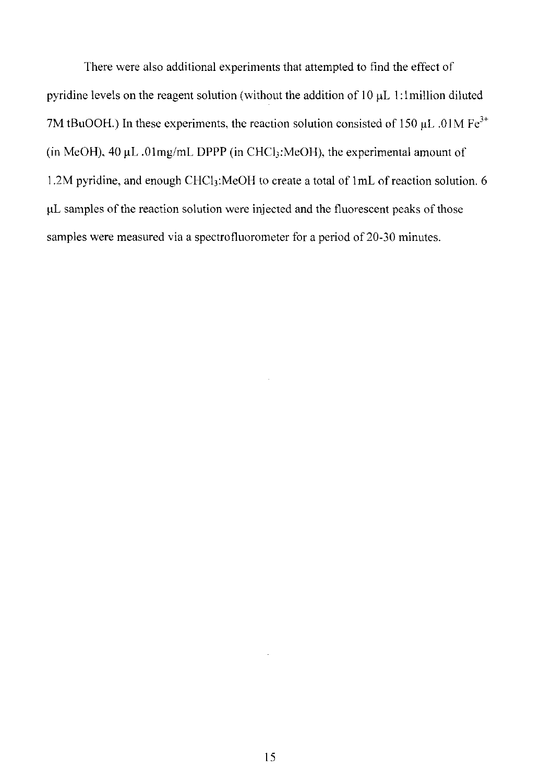There were also additional experiments that attempted to find the effect of pyridine levels on the reagent solution (without the addition of  $10 \mu L$  1: I million diluted 7M tBuOOH.) In these experiments, the reaction solution consisted of 150  $\mu$ L .01M Fe<sup>3+</sup> (in MeOH),  $40 \mu L$ .  $01 \text{mg/mL}$  DPPP (in CHCl<sub>3</sub>:MeOH), the experimental amount of 1.2M pyridine. and enough CHCi):MeOH to create a total of lmL of reaction solution. 6 fiL samples of the reaction solution were injected and the fluorescent peaks of those samples were measured via a spectrofluorometer for a period of 20-30 minutes.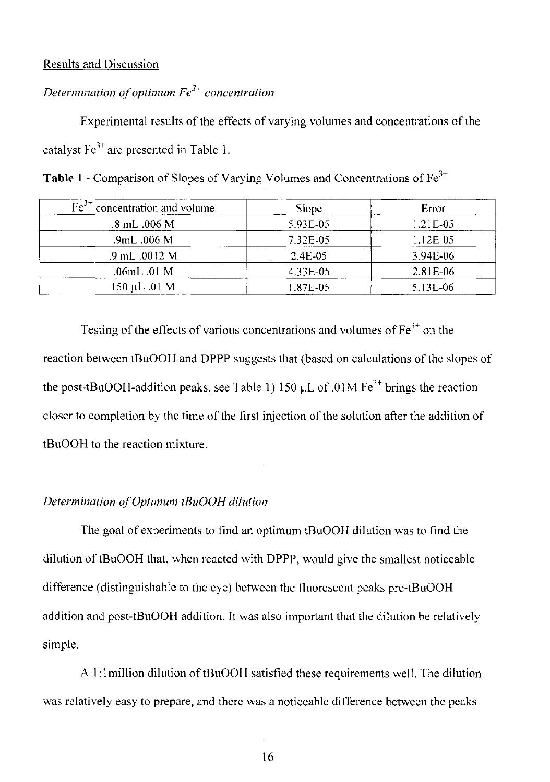## Results and Discussion

# *Determination of optimum Fe3 ' concentration*

Experimental results of the effects of varying volumes and concentrations of the catalyst  $Fe<sup>3+</sup>$  are presented in Table 1.

| $\overline{Fe}^{3+}$<br>concentration and volume | Slope    | Error       |
|--------------------------------------------------|----------|-------------|
| $.8 \text{ mL}$ $.006 \text{ M}$                 | 5.93E-05 | $1.21E-0.5$ |
| .9mL .006 M                                      | 7.32E-05 | 1.12E-05    |
| .9 mL .0012 M                                    | 2.4E-05  | 3.94E-06    |
| .06mL .01 M                                      | 4.33E-05 | $2.81E-06$  |
| 150 µL .01 M                                     | 1.87E-05 | 5.13E-06    |

Table 1 - Comparison of Slopes of Varying Volumes and Concentrations of Fe<sup>3+</sup>

Testing of the effects of various concentrations and volumes of  $Fe<sup>3+</sup>$  on the reaction between tBuOOH and DPPP suggests that (based on calculations of the slopes of the post-tBuOOH-addition peaks, see Table 1) 150  $\mu$ L of .01M Fe<sup>3+</sup> brings the reaction closer to completion by the time of the first injection of the solution after the addition of tBuOOH to the reaction mixture.

#### **Determination of Optimum tBuOOH dilution**

The goal of experiments to find an optimum tBuOOH dilution was to find the dilution of tBuOOH that, when reacted with DPPP, would give the smallest noticeable difference (distinguishable to the eye) between the fluorescent peaks pre-tBuOOH addition and post-tBuOOH addition. It was also important that the dilution be relatively simple.

AI: 1 million dilution of tBuOOH satisfied these requirements well. The dilution was relatively easy to prepare, and there was a noticeable difference between the peaks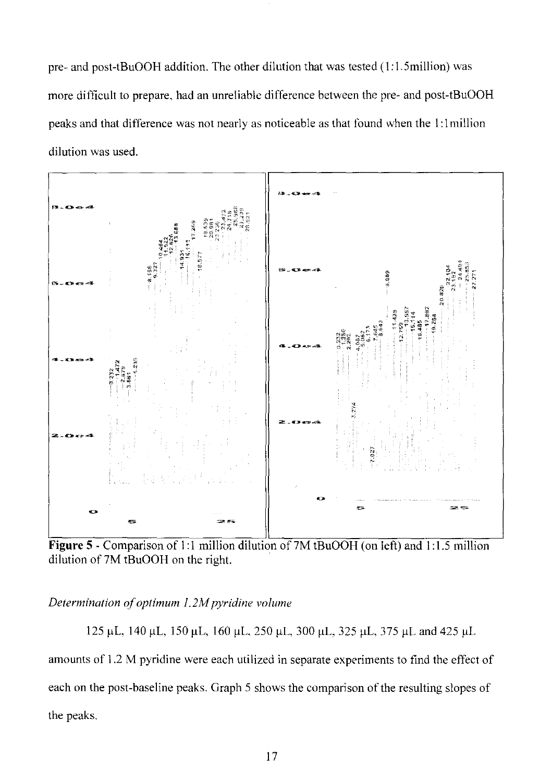pre- and post-tBuOOH addition. The other dilution that was tested (I: 1.5million) was more difficult to prepare. had an unreliable difference between the pre- and post-tBuOOH peaks and that difference was not nearly as noticeable as that found when the I: I million dilution was used.



**Figure** 5 - Comparison of 1:1 million dilution of7M tBuOOH (on left) and 1:1.5 million dilution of 7M tBuOOH on the right.

*Determination of optimum 1.2M pyridine volume* 

125 μL, 140 μL, 150 μL, 160 μL, 250 μL, 300 μL, 325 μL, 375 μL and 425 μL amounts of 1.2 M pyridine were each utilized in separate experiments to find the effect of each on the post-baseline peaks. Graph 5 shows the comparison of the resulting slopes of the peaks.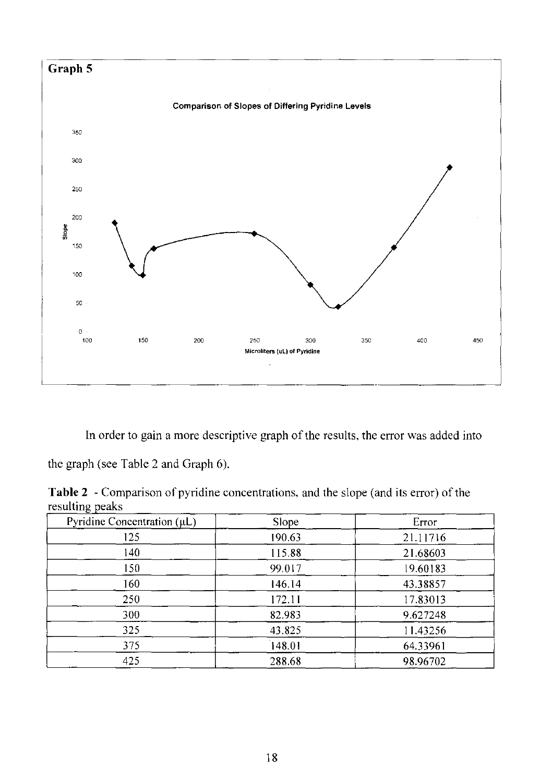

In order to gain a more descriptive graph of the results, the error was added into

the graph (see Table 2 and Graph 6),

**Table** 2 - Comparison of pyridine concentrations, and the slope (and its error) of the resulting peaks

| Pyridine Concentration $(\mu L)$ | Slope  | Error    |
|----------------------------------|--------|----------|
| 125                              | 190.63 | 21.11716 |
| 140                              | 115.88 | 21.68603 |
| 150                              | 99.017 | 19.60183 |
| 160                              | 146.14 | 43.38857 |
| 250                              | 172.11 | 17.83013 |
| 300                              | 82.983 | 9.627248 |
| 325                              | 43.825 | 11.43256 |
| 375                              | 148.01 | 64.33961 |
| 425                              | 288.68 | 98.96702 |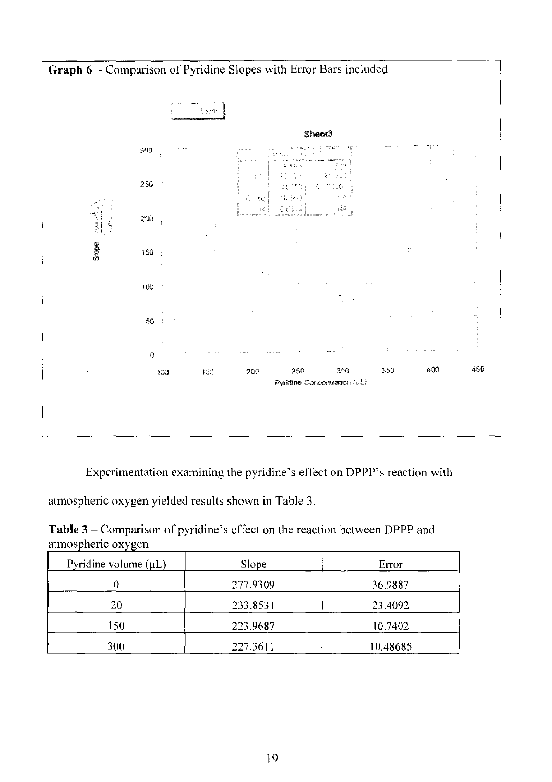

Experimentation examining the pyridine's effect on DPPP's reaction with

atmospheric oxygen yielded results shown in Table 3.

**Table 3** - Comparison of pyridine's effect on the reaction between DPPP and atmospheric oxygen

| . .<br>Pyridine volume $(\mu L)$ | Slope    | Error    |
|----------------------------------|----------|----------|
|                                  | 277.9309 | 36.9887  |
| 20                               | 233.8531 | 23.4092  |
| 150                              | 223.9687 | 10.7402  |
| 300                              | 227.3611 | 10.48685 |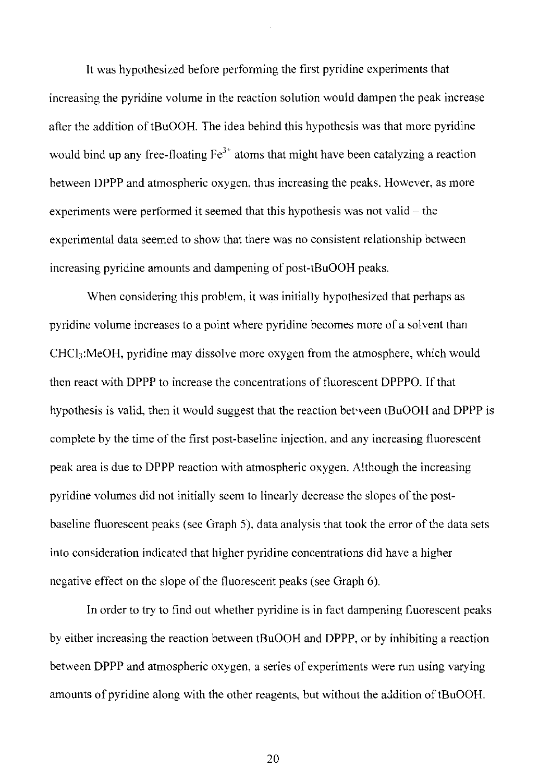It was hypothesized before performing the first pyridine experiments that increasing the pyridine volume in the reaction solution would dampen the peak increase after the addition of tBuOOH. The idea behind this hypothesis was that more pyridine would bind up any free-floating  $Fe<sup>3+</sup>$  atoms that might have been catalyzing a reaction between DPPP and atmospheric oxygen. thus increasing the peaks. However, as more experiments were performed it seemed that this hypothesis was not valid  $-$  the experimental data seemed to show that there was no consistent relationship between increasing pyridine amounts and dampening of post-tBuOOH peaks.

When considering this problem, it was initially hypothesized that perhaps as pyridine volume increases to a point where pyridine becomes more of a solvent than CHCl<sub>3</sub>:MeOH, pyridine may dissolve more oxygen from the atmosphere, which would then react with DPPP to increase the concentrations of fluorescent DPPPO. [fthat hypothesis is valid, then it would suggest that the reaction between tBuOOH and DPPP is complete by the time of the first post-baseline injection, and any increasing fluorescent peak area is due to DPPP reaction with atmospheric oxygen. Although the increasing pyridine volumes did not initially seem to linearly decrease the slopes of the postbaseline fluorescent peaks (see Graph 5). data analysis that took the error of the data sets into consideration indicated that higher pyridine concentrations did have a higher negative effect on the slope of the fluorescent peaks (see Graph 6).

In order to try to find out whether pyridine is in fact dampening fluorescent peaks by either increasing the reaction between tBuOOH and DPPP, or by inhibiting a reaction between DPPP and atmospheric oxygen, a series of experiments were run using varying amounts of pyridine along with the other reagents, but without the addition of tBuOOH.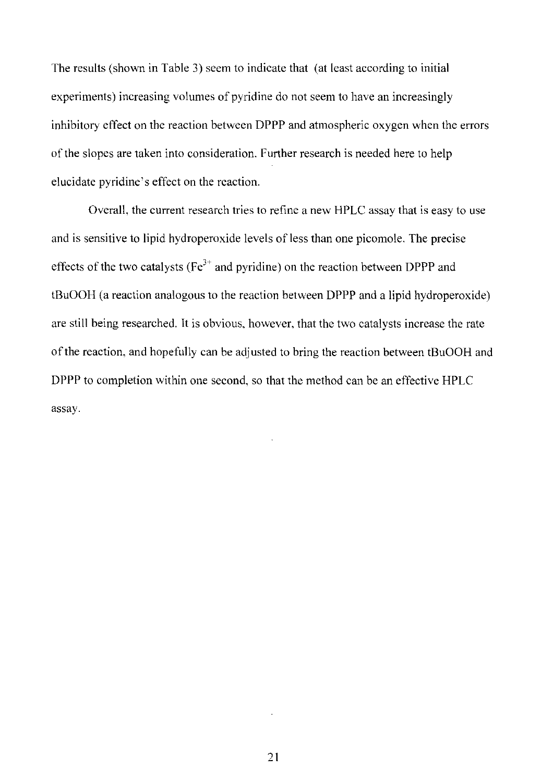The results (shown in Table 3) seem to indicate that (at least according to initial experiments) increasing volumes of pyridine do not seem to have an increasingly inhibitory effect on the reaction between DPPP and atmospheric oxygen when the errors of the slopes are taken into consideration. Further research is needed here to help elucidate pyridine's effect on the reaction.

Overall, the current research tries to refine a new HPLC assay that is easy to use and is sensitive to lipid hydroperoxide levels of less than one picomole. The precise effects of the two catalysts ( $Fe<sup>3+</sup>$  and pyridine) on the reaction between DPPP and tBuOOH (a reaction analogous to the reaction between DPPP and a lipid hydroperoxide) are still being researched. It is obvious, however, that the two catalysts increase the rate of the reaction, and hopefully can be adjusted to bring the reaction between tBuOOH and DPPP to completion within one second, so that the method can be an effective HPLC assay.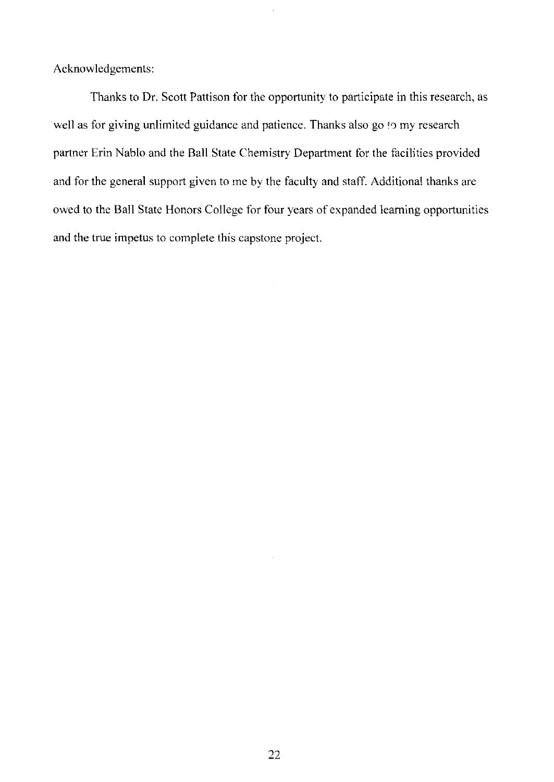Acknowledgements:

Thanks to Dr. Scott Pattison for the opportunity to participate in this research, as well as for giving unlimited guidance and patience. Thanks also go to my research partner Erin Nablo and the Ball State Chemistry Department for the facilities provided and for the general support given to me by the faculty and staff. Additional thanks are owed to the Ball State Honors College for four years of expanded learning opportunities and the true impetus to complete this capstone project.